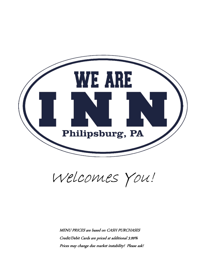

Welcomes You!

 MENU PRICES are based on CASH PURCHASES Credit/Debit Cards are priced at additional 3.99% Prices may change due market instability! Please ask!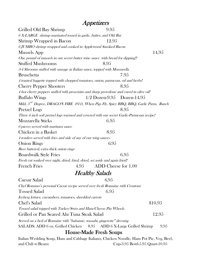**Appetizers** 

Grilled Old Bay Shrimp 9.95 6 X-LARGE shrimp marinated tossed in garlic, butter, and Old Bay Shrimp Wrapped in Bacon 12.95 6 JUMBO shrimp wrapped and cooked in Applewood Smoked Bacon  $Mussels App$   $14.95$ One pound of mussels in our secret butter wine sauce with bread for dipping!! Stuffed Mushrooms 8.95 3-4 Shrooms stuffed with sausage in Italian sauce, topped with Mozzarella Bruschetta 7.95 4 toasted baggette topped with chopped tomatoes, onion, parmesan, oil and herbs! Cherry Pepper Shooters 8.95 4 hot cherry peppers stuffed with prosciutto and sharp provolone and cured in olive oil! Buffalo Wings 1/2 Dozen-9.95 Dozen-14.95 Mild, 3<sup>rd</sup> Degree, DRAGON FIRE (911), When Pigs Fly, Spicy BBQ, BBQ, Garlic Parm, Ranch Pretzel Logs 8.95 Three 6 inch soft pretzel logs warmed and covered with our secret Garlic-Parmesan recipe! Mozzarella Sticks 6.95 6 pieces served with marinara sauce Chicken in a Basket 8.95 4 tenders served with fries and side of any of our wing sauces Onion Rings 6.95 Beer battered, extra thick onion rings Boardwalk Style Fries 6.95 Fresh cut soaked over night, dried, fried, dried, set aside and again fried! French Fries 4.95 ADD Cheese for 1.00 Healthy Salads Caesar Salad 6.95 Chef Romano's personal Caesar recipe served over fresh Romaine with Croutons Tossed Salad 6.95 Iceberg lettuce, cucumbers, tomatoes, shredded carrots Chef's Salad \$10.95 Tossed salad topped with Turkey/Swiss and Ham/Cheese Pin Wheels. Grilled or Pan Seared Ahi Tuna Steak Salad 12.95 Served on a bed of Romaine with "balsamic, wassabi, gingerette" dressing SALADS: ADD 6 oz. Grilled Chicken 8.95 ADD 6 X-Large Grilled Shrimp 9.95 House-Made Fresh Soups

Italian Wedding Soup, Ham and Cabbage Italiano, Chicken Noodle, Ham Pot Pie, Veg. Beef, and Chili w/Beans: Cup-3.95 Bowl-5.95 Quart-10.95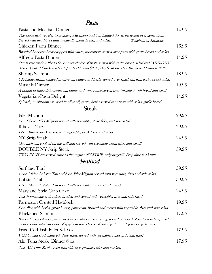### Pasta

| Pasta and Meatball Dinner                                                                                | 14.95 |
|----------------------------------------------------------------------------------------------------------|-------|
| The sauce that we refer to as gravy, a Romano tradition handed down, perfected over generations.         |       |
| Served with two 1/3 pound meatballs, garlic bread, and salad.<br><i>(Spaghetti or Rigatoni)</i>          |       |
| <b>Chicken Parm Dinner</b>                                                                               | 16.95 |
| Breaded boneless breast topped with sauce, mozzarella served over pasta with garlic bread and salad      |       |
| Alfredo Pasta Dinner                                                                                     | 14.95 |
| Our house made Alfredo Sauce over choice of pasta served with garlic bread, salad and "ADD-ONS"          |       |
| ADD: Grilled Chicken 8.95, 6 Jumbo Shrimp \$9.95, Bay Scallops 9.95, Blackened Salmon 12.95              |       |
| Shrimp Scampi                                                                                            | 18.95 |
| 6 X-Large shrimp sauteed in olive oil, butter, and herbs served over spaghetti, with garlic bread, salad |       |
| <b>Mussels Dinner</b>                                                                                    | 19.95 |
| A pound of mussels in garlic, oil, butter and wine sauce served over Spaghetti with bread and salad      |       |
| Vegetarian-Pasta Delight                                                                                 | 14.95 |
| Spinach, mushrooms sauteed in olive oil, garlic, herbs-served over pasta with salad, garlic bread        |       |
| <b>Steak</b>                                                                                             |       |
| <b>Filet Mignon</b>                                                                                      | 29.95 |
| 8 oz. Choice Filet Mignon served with vegetable, steak fries, and side salad                             |       |
| Ribeye 12 oz.                                                                                            | 29.95 |
| 12 oz. Ribeye steak served with vegetable, steak fries, and salad.                                       |       |
| NY Strip Steak                                                                                           | 24.95 |

| <b>TVT DUID DIGR</b>                                                                 | 27.JJ |
|--------------------------------------------------------------------------------------|-------|
| One inch cut, cooked on the grill and served with vegetable, steak fries, and salad! |       |
| <b>DOUBLE NY Strip Steak</b>                                                         | 39.95 |

TWO INCH cut served same as the regular NY STRIP, only bigger!!! Prep time is 45 min.

## Seafood

| Surf and Turf                                                                                             | 59.95 |
|-----------------------------------------------------------------------------------------------------------|-------|
| 10 oz. Maine Lobster Tail and 8 oz. Filet Mignon served with vegetable, fries and side salad              |       |
| Lobster Tail                                                                                              | 39.95 |
| 10 oz. Maine Lobster Tail served with vegetable, fries and side salad                                     |       |
| Maryland Style Crab Cake                                                                                  | 24.95 |
| 4 oz. homemade crab cakes, broiled and served with vegetable, fries and side salad                        |       |
| Parmeson Crusted Haddock                                                                                  | 19.95 |
| 8 oz. filet, with herbs, garlic butter, parmesan, broiled and served with vegetable, fries and side salad |       |
| <b>Blackened Salmon</b>                                                                                   | 17.95 |
| Bay of Fundy salmon, pan seared in our blacken seasoning, served on a bed of sauteed baby spinach         |       |
| includes side salad and side of spaghetti with choice of our siganture red gravy or garlic sauce          |       |
| Fried Cod Fish Fillet 8-10 oz.                                                                            | 17.95 |
| Wild Caught Cod, battered, deep fried, served with vegetable, salad and steak fries!                      |       |
| Ahi Tuna Steak Dinner 6 oz.                                                                               | 17.95 |
| 6 oz. Ahi Tuna Steak erved with side of vegetables, fries and a salad!                                    |       |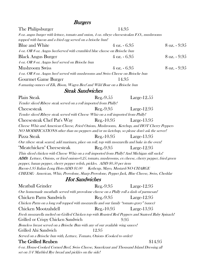### Burgers

| The Philipsburger                                                                                    |                        | 14.95                  |                 |
|------------------------------------------------------------------------------------------------------|------------------------|------------------------|-----------------|
| 8 oz. angus burger with lettuce, tomato and onion, 4 oz. ribeye cheesesteakm F.O., mushrooms         |                        |                        |                 |
| topped with bacon and a fried egg served on a brioche bun!                                           |                        |                        |                 |
| <b>Blue and White</b>                                                                                | $4 \text{ oz.} - 6.95$ |                        | $8$ oz. $-9.95$ |
| 4 oz. OR 8 oz. Angus beefserved with crumbled blue cheese on Brioche bun                             |                        |                        |                 |
| <b>Black Angus Burger</b>                                                                            | $4$ oz. $-6.95$        |                        | $8$ oz. $-9.95$ |
| 4 oz. OR 8 oz. Angus beef served on Brioche bun                                                      |                        |                        |                 |
| <b>Mushroom Swiss</b>                                                                                |                        | $4 \text{ oz.} - 6.95$ | $8$ oz. $-9.95$ |
| 4 oz. OR 8 oz. Angus beef served with mushrooms and Swiss Cheese on Brioche bun                      |                        |                        |                 |
| Gourmet Game Burger                                                                                  | 14.95                  |                        |                 |
| 8 amazing ounces of Elk, Bison, Wagyu Beef and Wild Boar on a Brioche bun                            |                        |                        |                 |
| <b>Steak Sandwiches</b>                                                                              |                        |                        |                 |
| <b>Plain Steak</b>                                                                                   | $Reg.-9.55$            | Large- $12.55$         |                 |
| Tender sliced Ribeye steak served on a roll imported from Philly!                                    |                        |                        |                 |
| Cheesesteak                                                                                          | $Reg.-9.95$            | Large- $12.95$         |                 |
| Tender sliced Ribeye steak served with Cheese Whiz on a roll imported from Philly!                   |                        |                        |                 |
| <b>Cheesesteak Chef Pat's Way</b>                                                                    | $Reg.-10.95$           | Large- $13.95$         |                 |
| Cheese Whiz and American Cheese, Fried Onions, Mushrooms, Ketchup, and HOT Cherry Peppers            |                        |                        |                 |
| NO MODIFICATIONS other than no peppers and/or no ketchup, so please don't ask the server!            |                        |                        |                 |
| Pizza Steak                                                                                          | $Reg.-10.95$           | Large- $13.95$         |                 |
| Our ribeye steak seared, add marinara, place on roll, top with mozzarella and bake in the oven!      |                        |                        |                 |
| "Meatchicken" Cheesesteak                                                                            | $Reg.-9.95$            | Large- $12.95$         |                 |
| Thin sliced chicken with Cheese Whiz on a roll imported from Philly! And Michigan still sucks!       |                        |                        |                 |
| ADD: Lettuce, Onions, or fried onions-0.25, tomato, mushrooms, ex cheese, cherry pepper, fried green |                        |                        |                 |
| pepper, banan pepper, cherry pepper relish, pickles. ADD \$0.50 per item                             |                        |                        |                 |
| Bacon-1.95 Italian Long Hots-ADD \$1.00 Kethcup, Mayo, Mustard-NO CHARGE                             |                        |                        |                 |
| CHEESE: American, Whiz, Provolone, Sharp Provolone, Pepper Jack, Blue Cheese, Swiss, Cheddar         |                        |                        |                 |
| <i>Hot Sandwiches</i>                                                                                |                        |                        |                 |
| <b>Meatball Grinder</b>                                                                              | $\text{Reg.}-9.95$     | Large- $12.95$         |                 |
| Our homemade meatballs served with provolone cheese on a Philly roll a dash of parmesan!             |                        |                        |                 |
| Chicken Parm Sandwich                                                                                | $Reg.-9.95$            | Large- $12.95$         |                 |
| Chicken Parm on a long roll topped with mozzarella and our family "tomato gravy" (sauce)             |                        |                        |                 |
| <b>Chicken Mootzahdell</b>                                                                           | $Reg.-10.95$           | Large- $13.95$         |                 |
| Fresh mozzarella melted on Grilled Chicken top with Roasted Red Peppers and Suateed Baby Spinach!    |                        |                        |                 |
| Grilled or Crispy Chicken Sandwich                                                                   |                        | 9.95                   |                 |
| Boneless breast served on a Brioche Bun with any of our available wing sauces!                       |                        |                        |                 |
| Grilled Ahi Sandwich                                                                                 | 12.95                  |                        |                 |
| Served on a Brioche bun with, Lettuce, Tomato, Onions (Cooked to order)                              |                        |                        |                 |
| The Grilled Reuben                                                                                   |                        | \$14.95                |                 |
| 6 oz. House-Cooked Corned Beef, Swiss Cheese, Sauerkraut and Thousand Island Dressing all            |                        |                        |                 |
| set on 3/4' Marbled Rye bread and pickles on the side!                                               |                        |                        |                 |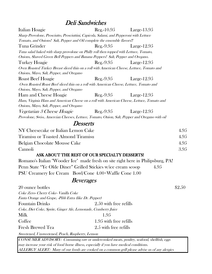# Deli Sandwiches

| Italian Hoagie                                                                                                                       | $Reg.-10.95$                                  | Large- $13.95$            |        |
|--------------------------------------------------------------------------------------------------------------------------------------|-----------------------------------------------|---------------------------|--------|
| Sharp Provolone, Prosciutto, Prosciuttini, Capicola, Salami, and Pepperoni with Lettuce                                              |                                               |                           |        |
| Tomato, and Onions! Salt, Pepper and Oil complete the ensemble flavors!!                                                             |                                               |                           |        |
| Tuna Grinder                                                                                                                         | $Reg.-9.95$                                   | Large- $12.95$            |        |
| Tuna salad baked with sharp provolone on Philly roll then topped with Lettuce, Tomato,                                               |                                               |                           |        |
| Onions, Shaved Green Bell Peppers and Banana Peppers! Salt, Pepper and Oregano.                                                      |                                               |                           |        |
| Turkey Hoagie                                                                                                                        | $Reg.-9.95$                                   | Large- $12.95$            |        |
| Oven Roasted Turkey Breast sliced thin on a roll with American Cheese, Lettuce, Tomato and                                           |                                               |                           |        |
| Onions, Mayo, Salt, Pepper, and Oregano                                                                                              |                                               |                           |        |
| <b>Roast Beef Hoagie</b>                                                                                                             |                                               | $Reg.-9.95$ $Large-12.95$ |        |
| Oven Roasted Roast Beef sliced thin on a roll with American Cheese, Lettuce, Tomato and                                              |                                               |                           |        |
| Onions, Mayo, Salt, Pepper, and Oregano                                                                                              |                                               |                           |        |
| Ham and Cheese Hoagie                                                                                                                | $Reg.-9.95$                                   | Large- $12.95$            |        |
| Ham, Virginia Ham and American Cheese on a roll with American Cheese, Lettuce, Tomato and<br>Onions, Mayo, Salt, Pepper, and Oregano |                                               |                           |        |
| <i>Vegetarian 3 Cheese Hoagie</i>                                                                                                    | $Reg.-9.95$                                   | Large- $12.95$            |        |
| Provolone, Swiss, Amercian Cheeses, Lettuce, Tomato, Onion, Salt, Pepper and Oregano with oil                                        |                                               |                           |        |
|                                                                                                                                      | Desserts                                      |                           |        |
| NY Cheesecake or Italian Lemon Cake                                                                                                  |                                               |                           | 4.95   |
| Tiramisu or Toasted Almond Tiramisu                                                                                                  |                                               |                           | 4.95   |
| Belgian Chocolate Mousse Cake                                                                                                        |                                               |                           | 4.95   |
| Cannoli                                                                                                                              |                                               |                           | 3.95   |
|                                                                                                                                      | ASK ABOUT THE REST OF OUR SPECIALTY DESSERTS! |                           |        |
| Romano's Italian "Wooder Ice" made fresh on site right here in Philipsburg, PA!                                                      |                                               |                           |        |
| Penn State "Ye Olde Diner" Grilled Stickies w/ice cream scoop                                                                        |                                               | 4.95                      |        |
|                                                                                                                                      |                                               |                           |        |
| PSU Creamery Ice Cream Bowl/Cone 4.00+Waffle Cone 1.00                                                                               |                                               |                           |        |
|                                                                                                                                      | Beverages                                     |                           |        |
| 20 ounce bottles                                                                                                                     |                                               |                           | \$2.50 |
| Coke Zero- Cherry Coke- Vanilla Coke                                                                                                 |                                               |                           |        |
| Fanta Orange and Grape, -Pibb Extra (like Dr. Pepper)                                                                                |                                               |                           |        |
| <b>Fountain Drinks</b>                                                                                                               | 2.50 with free refills                        |                           |        |
| Coke, Diet Coke, Sprite, Ginger Ale, Lemonade, Cranberry Juice                                                                       |                                               |                           |        |
| Milk                                                                                                                                 | 1.95                                          |                           |        |
| Coffee                                                                                                                               | 1.95 with free refills                        |                           |        |
| <b>Fresh Brewed Tea</b>                                                                                                              | 2.5 with free refills                         |                           |        |
| Sweetened, Unsweetened, Peach, Raspberry, Lemon                                                                                      |                                               |                           |        |
| CONSUMER ADVISORY: Consuming raw or undercooked meets, poultry sectood shellfish eggs                                                |                                               |                           |        |

NSUMER ADVISORY: Consuming raw or undercooked meats, poultry, seafood, shellfish, eggs may increase your risk of food borne illness, especially if you have medical conditions. ALLERGY ALERT: Many of our foods are cooked on a common grill please advise us of any alergies